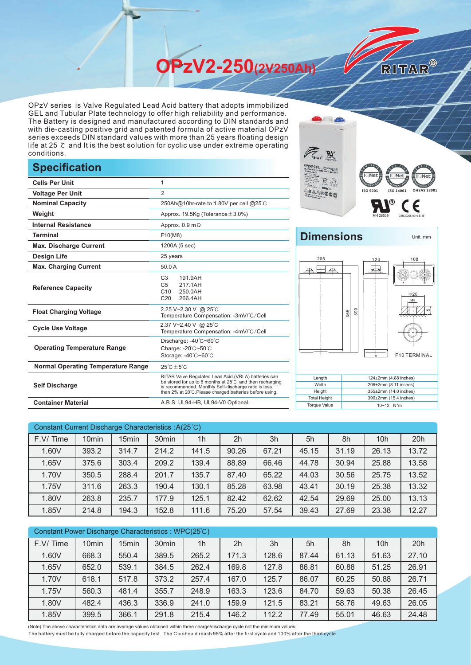**OPzV2-250(2V250Ah)** 

OPzV series is Valve Regulated Lead Acid battery that adopts immobilized GEL and Tubular Plate technology to offer high reliability and performance. The Battery is designed and manufactured according to DIN standards and with die-casting positive grid and patented formula of active material OPzV series exceeds DIN standard values with more than 25 years floating design life at 25 ℃ and It is the best solution for cyclic use under extreme operating conditions.

## **Specification**

|                                           |                                                                                                                                                                                                                                     | हLाNet ह<br>l⊝Ne                                                                 |
|-------------------------------------------|-------------------------------------------------------------------------------------------------------------------------------------------------------------------------------------------------------------------------------------|----------------------------------------------------------------------------------|
| <b>Cells Per Unit</b>                     | 1                                                                                                                                                                                                                                   |                                                                                  |
| <b>Voltage Per Unit</b>                   | $\overline{2}$                                                                                                                                                                                                                      | ISO 9001<br>ISO 140                                                              |
| <b>Nominal Capacity</b>                   | 250Ah@10hr-rate to 1.80V per cell @25°C                                                                                                                                                                                             |                                                                                  |
| Weight                                    | Approx. 19.5Kg (Tolerance $\pm$ 3.0%)                                                                                                                                                                                               |                                                                                  |
| <b>Internal Resistance</b>                | Approx. $0.9 \text{ m}\Omega$                                                                                                                                                                                                       |                                                                                  |
| <b>Terminal</b>                           | F10(M8)                                                                                                                                                                                                                             | <b>Dimensions</b>                                                                |
| <b>Max. Discharge Current</b>             | 1200A (5 sec)                                                                                                                                                                                                                       |                                                                                  |
| <b>Design Life</b>                        | 25 years                                                                                                                                                                                                                            | 206<br>124                                                                       |
| <b>Max. Charging Current</b>              | 50.0 A                                                                                                                                                                                                                              |                                                                                  |
| <b>Reference Capacity</b>                 | C <sub>3</sub><br>191.9AH<br>C <sub>5</sub><br>217.1AH<br>C10<br>250.0AH<br>C <sub>20</sub><br>266.4AH                                                                                                                              |                                                                                  |
| <b>Float Charging Voltage</b>             | 2.25 V~2.30 V @ 25°C<br>Temperature Compensation: -3mV/°C/Cell                                                                                                                                                                      | $\overline{6}$<br>355                                                            |
| <b>Cycle Use Voltage</b>                  | 2.37 V~2.40 V @ 25°C<br>Temperature Compensation: -4mV/°C/Cell                                                                                                                                                                      |                                                                                  |
| <b>Operating Temperature Range</b>        | Discharge: -40°C~60°C<br>Charge: -20°C~50°C<br>Storage: -40°C~60°C                                                                                                                                                                  | F <sub>1</sub>                                                                   |
| <b>Normal Operating Temperature Range</b> | $25^{\circ}$ C $\pm 5^{\circ}$ C                                                                                                                                                                                                    |                                                                                  |
| <b>Self Discharge</b>                     | RITAR Valve Regulated Lead Acid (VRLA) batteries can<br>be stored for up to 6 months at 25°C and then recharging<br>is recommended. Monthly Self-discharge ratio is less<br>than 2% at 20°C. Please charged batteries before using. | Length<br>124±2mm (4.88<br>Width<br>206±2mm (8.11 i<br>Height<br>355±2mm (14.0 i |
| <b>Container Material</b>                 | A.B.S. UL94-HB, UL94-V0 Optional.                                                                                                                                                                                                   | <b>Total Height</b><br>390±2mm (15.4<br><b>Torque Value</b><br>10~12 N*m         |



RITAR®

## **Dimensions** Unit: mm



| Constant Current Discharge Characteristics : A(25°C) |                   |                   |                   |                |                |       |       |       |                 |       |
|------------------------------------------------------|-------------------|-------------------|-------------------|----------------|----------------|-------|-------|-------|-----------------|-------|
| F.V/Time                                             | 10 <sub>min</sub> | 15 <sub>min</sub> | 30 <sub>min</sub> | 1 <sub>h</sub> | 2 <sub>h</sub> | 3h    | 5h    | 8h    | 10 <sub>h</sub> | 20h   |
| 1.60V                                                | 393.2             | 314.7             | 214.2             | 141.5          | 90.26          | 67.21 | 45.15 | 31.19 | 26.13           | 13.72 |
| 1.65V                                                | 375.6             | 303.4             | 209.2             | 139.4          | 88.89          | 66.46 | 44.78 | 30.94 | 25.88           | 13.58 |
| 1.70V                                                | 350.5             | 288.4             | 201.7             | 135.7          | 87.40          | 65.22 | 44.03 | 30.56 | 25.75           | 13.52 |
| 1.75V                                                | 311.6             | 263.3             | 190.4             | 130.1          | 85.28          | 63.98 | 43.41 | 30.19 | 25.38           | 13.32 |
| 1.80V                                                | 263.8             | 235.7             | 177.9             | 125.1          | 82.42          | 62.62 | 42.54 | 29.69 | 25.00           | 13.13 |
| 1.85V                                                | 214.8             | 194.3             | 152.8             | 111.6          | 75.20          | 57.54 | 39.43 | 27.69 | 23.38           | 12.27 |

| Constant Power Discharge Characteristics: WPC(25°C) |                   |                   |                   |                |                |       |       |       |                 |       |
|-----------------------------------------------------|-------------------|-------------------|-------------------|----------------|----------------|-------|-------|-------|-----------------|-------|
| F.V/Time                                            | 10 <sub>min</sub> | 15 <sub>min</sub> | 30 <sub>min</sub> | 1 <sub>h</sub> | 2 <sub>h</sub> | 3h    | 5h    | 8h    | 10 <sub>h</sub> | 20h   |
| 1.60V                                               | 668.3             | 550.4             | 389.5             | 265.2          | 171.3          | 128.6 | 87.44 | 61.13 | 51.63           | 27.10 |
| 1.65V                                               | 652.0             | 539.1             | 384.5             | 262.4          | 169.8          | 127.8 | 86.81 | 60.88 | 51.25           | 26.91 |
| 1.70V                                               | 618.1             | 517.8             | 373.2             | 257.4          | 167.0          | 125.7 | 86.07 | 60.25 | 50.88           | 26.71 |
| 1.75V                                               | 560.3             | 481.4             | 355.7             | 248.9          | 163.3          | 123.6 | 84.70 | 59.63 | 50.38           | 26.45 |
| 1.80V                                               | 482.4             | 436.3             | 336.9             | 241.0          | 159.9          | 121.5 | 83.21 | 58.76 | 49.63           | 26.05 |
| 1.85V                                               | 399.5             | 366.1             | 291.8             | 215.4          | 146.2          | 112.2 | 77.49 | 55.01 | 46.63           | 24.48 |

(Note) The above characteristics data are average values obtained within three charge/discharge cycle not the minimum values.

The battery must be fully charged before the capacity test. The C10 should reach 95% after the first cycle and 100% after the third cycle.